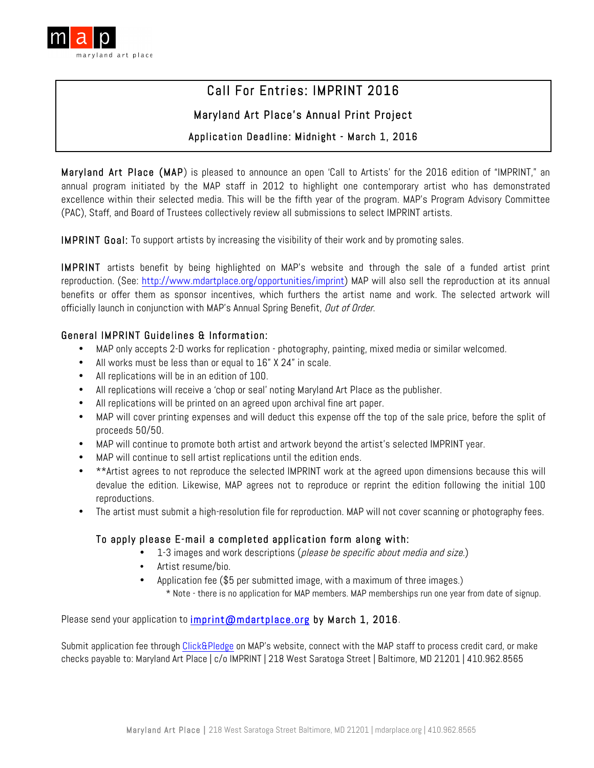

# Call For Entries: IMPRINT 2016

# Maryland Art Place's Annual Print Project

# Application Deadline: Midnight - March 1, 2016

Maryland Art Place (MAP) is pleased to announce an open 'Call to Artists' for the 2016 edition of "IMPRINT," an annual program initiated by the MAP staff in 2012 to highlight one contemporary artist who has demonstrated excellence within their selected media. This will be the fifth year of the program. MAP's Program Advisory Committee (PAC), Staff, and Board of Trustees collectively review all submissions to select IMPRINT artists.

IMPRINT Goal: To support artists by increasing the visibility of their work and by promoting sales.

IMPRINT artists benefit by being highlighted on MAP's website and through the sale of a funded artist print reproduction. (See: http://www.mdartplace.org/opportunities/imprint) MAP will also sell the reproduction at its annual benefits or offer them as sponsor incentives, which furthers the artist name and work. The selected artwork will officially launch in conjunction with MAP's Annual Spring Benefit, Out of Order.

#### General IMPRINT Guidelines & Information:

- MAP only accepts 2-D works for replication photography, painting, mixed media or similar welcomed.
- All works must be less than or equal to 16" X 24" in scale.
- All replications will be in an edition of 100.
- All replications will receive a 'chop or seal' noting Maryland Art Place as the publisher.
- All replications will be printed on an agreed upon archival fine art paper.
- MAP will cover printing expenses and will deduct this expense off the top of the sale price, before the split of proceeds 50/50.
- MAP will continue to promote both artist and artwork beyond the artist's selected IMPRINT year.
- MAP will continue to sell artist replications until the edition ends.
- \*\*Artist agrees to not reproduce the selected IMPRINT work at the agreed upon dimensions because this will devalue the edition. Likewise, MAP agrees not to reproduce or reprint the edition following the initial 100 reproductions.
- The artist must submit a high-resolution file for reproduction. MAP will not cover scanning or photography fees.

#### To apply please E-mail a completed application form along with:

- 1-3 images and work descriptions (please be specific about media and size.)
- Artist resume/bio.
- Application fee (\$5 per submitted image, with a maximum of three images.) \* Note - there is no application for MAP members. MAP memberships run one year from date of signup.

Please send your application to imprint@mdartplace.org by March 1, 2016.

Submit application fee through Click&Pledge on MAP's website, connect with the MAP staff to process credit card, or make checks payable to: Maryland Art Place | c/o IMPRINT | 218 West Saratoga Street | Baltimore, MD 21201 | 410.962.8565